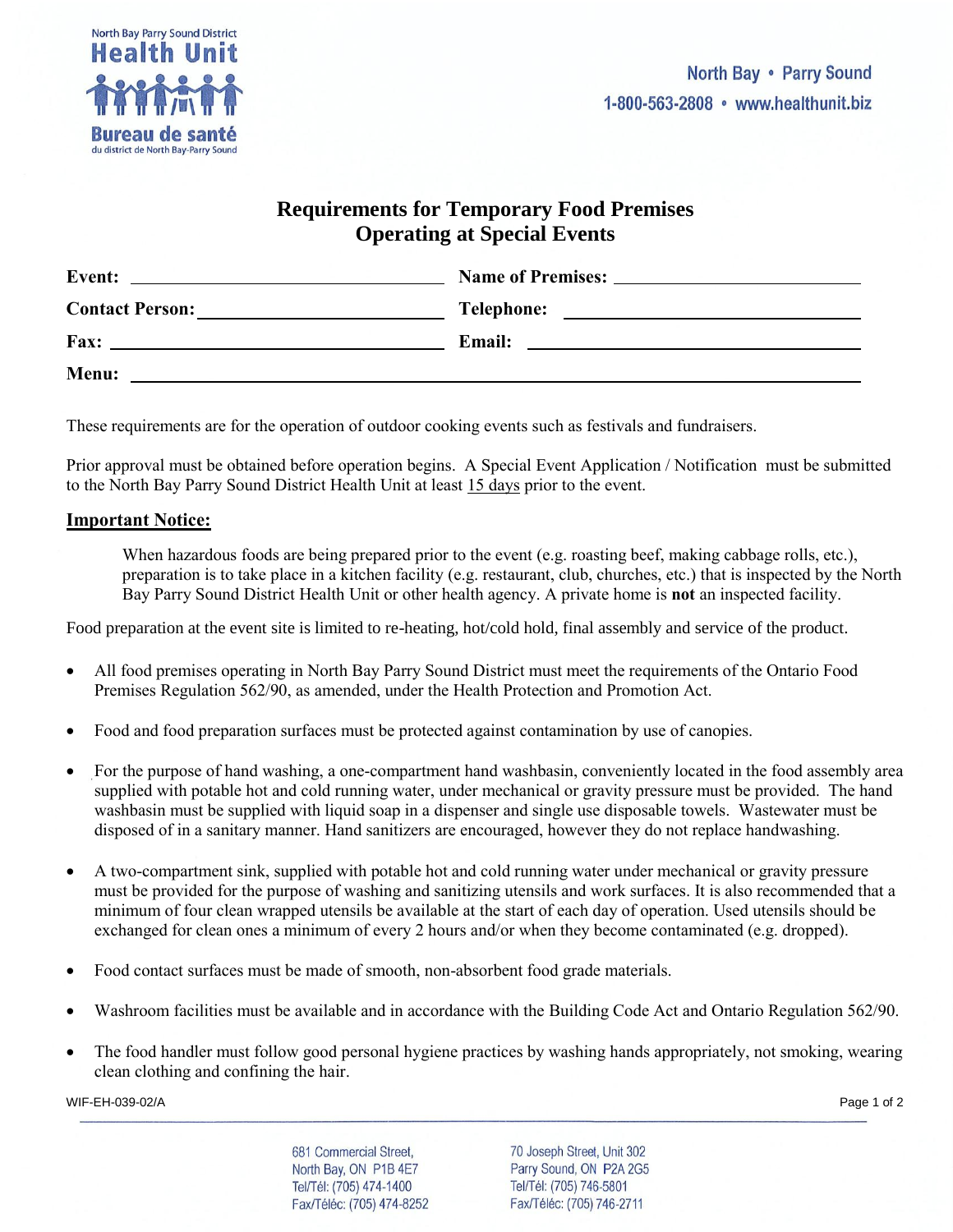

## **Requirements for Temporary Food Premises Operating at Special Events**

| <b>Event:</b><br>the contract of the contract of the contract of the contract of the contract of the contract of the contract of |                                                    |
|----------------------------------------------------------------------------------------------------------------------------------|----------------------------------------------------|
| <b>Contact Person:</b>                                                                                                           | <b>Telephone:</b>                                  |
|                                                                                                                                  | <u> 1989 - John Stein, Amerikaansk politiker (</u> |
| Fax:                                                                                                                             | <b>Email:</b>                                      |
| <u> 1980 - Jan Stein Berlin, amerikansk politiker (</u>                                                                          |                                                    |
| Menu:                                                                                                                            |                                                    |

These requirements are for the operation of outdoor cooking events such as festivals and fundraisers.

Prior approval must be obtained before operation begins. A Special Event Application / Notification must be submitted to the North Bay Parry Sound District Health Unit at least 15 days prior to the event.

## **Important Notice:**

When hazardous foods are being prepared prior to the event (e.g. roasting beef, making cabbage rolls, etc.), preparation is to take place in a kitchen facility (e.g. restaurant, club, churches, etc.) that is inspected by the North Bay Parry Sound District Health Unit or other health agency. A private home is **not** an inspected facility.

Food preparation at the event site is limited to re-heating, hot/cold hold, final assembly and service of the product.

- All food premises operating in North Bay Parry Sound District must meet the requirements of the Ontario Food Premises Regulation 562/90, as amended, under the Health Protection and Promotion Act.
- Food and food preparation surfaces must be protected against contamination by use of canopies.
- For the purpose of hand washing, a one-compartment hand washbasin, conveniently located in the food assembly area supplied with potable hot and cold running water, under mechanical or gravity pressure must be provided. The hand washbasin must be supplied with liquid soap in a dispenser and single use disposable towels. Wastewater must be disposed of in a sanitary manner. Hand sanitizers are encouraged, however they do not replace handwashing.
- A two-compartment sink, supplied with potable hot and cold running water under mechanical or gravity pressure must be provided for the purpose of washing and sanitizing utensils and work surfaces. It is also recommended that a minimum of four clean wrapped utensils be available at the start of each day of operation. Used utensils should be exchanged for clean ones a minimum of every 2 hours and/or when they become contaminated (e.g. dropped).
- Food contact surfaces must be made of smooth, non-absorbent food grade materials.
- Washroom facilities must be available and in accordance with the Building Code Act and Ontario Regulation 562/90.
- The food handler must follow good personal hygiene practices by washing hands appropriately, not smoking, wearing clean clothing and confining the hair.

WIF-EH-039-02/A Page 1 of 2

681 Commercial Street, North Bay, ON P1B 4E7 Tel/Tél: (705) 474-1400 Fax/Téléc: (705) 474-8252 70 Joseph Street, Unit 302 Parry Sound, ON P2A 2G5 Tel/Tél: (705) 746-5801 Fax/Téléc: (705) 746-2711